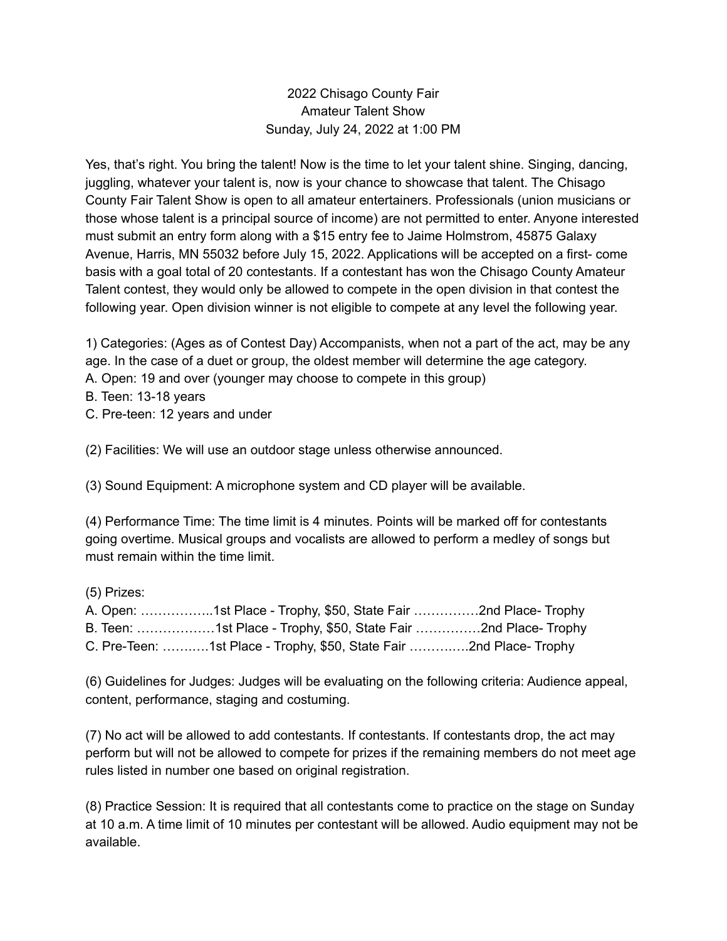## 2022 Chisago County Fair Amateur Talent Show Sunday, July 24, 2022 at 1:00 PM

Yes, that's right. You bring the talent! Now is the time to let your talent shine. Singing, dancing, juggling, whatever your talent is, now is your chance to showcase that talent. The Chisago County Fair Talent Show is open to all amateur entertainers. Professionals (union musicians or those whose talent is a principal source of income) are not permitted to enter. Anyone interested must submit an entry form along with a \$15 entry fee to Jaime Holmstrom, 45875 Galaxy Avenue, Harris, MN 55032 before July 15, 2022. Applications will be accepted on a first- come basis with a goal total of 20 contestants. If a contestant has won the Chisago County Amateur Talent contest, they would only be allowed to compete in the open division in that contest the following year. Open division winner is not eligible to compete at any level the following year.

1) Categories: (Ages as of Contest Day) Accompanists, when not a part of the act, may be any age. In the case of a duet or group, the oldest member will determine the age category. A. Open: 19 and over (younger may choose to compete in this group)

B. Teen: 13-18 years

C. Pre-teen: 12 years and under

(2) Facilities: We will use an outdoor stage unless otherwise announced.

(3) Sound Equipment: A microphone system and CD player will be available.

(4) Performance Time: The time limit is 4 minutes. Points will be marked off for contestants going overtime. Musical groups and vocalists are allowed to perform a medley of songs but must remain within the time limit.

(5) Prizes:

| A. Open: 1st Place - Trophy, \$50, State Fair 2nd Place- Trophy     |  |
|---------------------------------------------------------------------|--|
| B. Teen: 1st Place - Trophy, \$50, State Fair 2nd Place- Trophy     |  |
| C. Pre-Teen: 1st Place - Trophy, \$50, State Fair 2nd Place- Trophy |  |

(6) Guidelines for Judges: Judges will be evaluating on the following criteria: Audience appeal, content, performance, staging and costuming.

(7) No act will be allowed to add contestants. If contestants. If contestants drop, the act may perform but will not be allowed to compete for prizes if the remaining members do not meet age rules listed in number one based on original registration.

(8) Practice Session: It is required that all contestants come to practice on the stage on Sunday at 10 a.m. A time limit of 10 minutes per contestant will be allowed. Audio equipment may not be available.